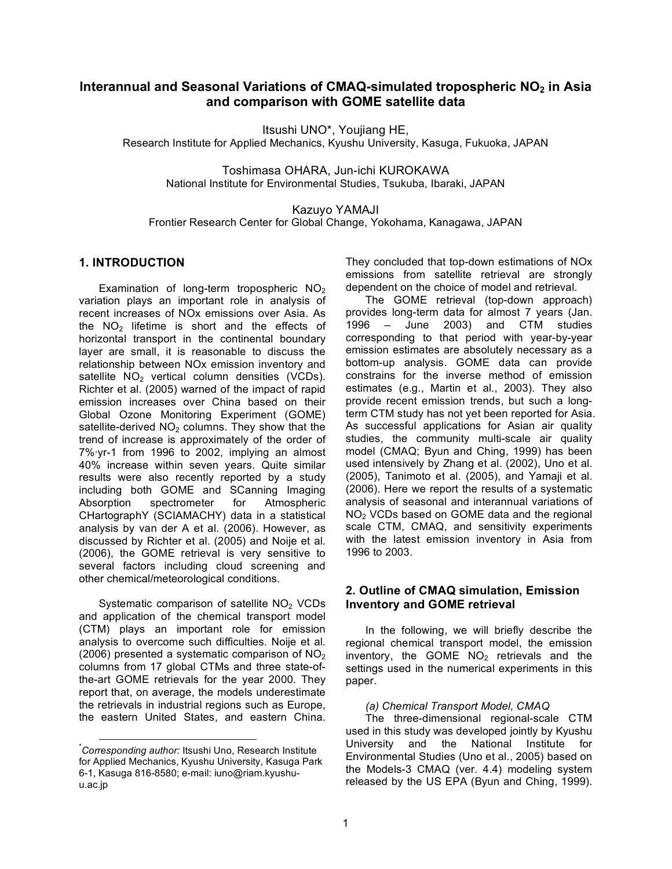# **Interannual and Seasonal Variations of CMAQ-simulated tropospheric NO2 in Asia and comparison with GOME satellite data**

Itsushi UNO\*, Youjiang HE,

Research Institute for Applied Mechanics, Kyushu University, Kasuga, Fukuoka, JAPAN

Toshimasa OHARA, Jun-ichi KUROKAWA National Institute for Environmental Studies, Tsukuba, Ibaraki, JAPAN

Kazuyo YAMAJI

Frontier Research Center for Global Change, Yokohama, Kanagawa, JAPAN

### **1. INTRODUCTION**

Examination of long-term tropospheric  $NO<sub>2</sub>$ variation plays an important role in analysis of recent increases of NOx emissions over Asia. As the  $NO<sub>2</sub>$  lifetime is short and the effects of horizontal transport in the continental boundary layer are small, it is reasonable to discuss the relationship between NOx emission inventory and satellite  $NO<sub>2</sub>$  vertical column densities (VCDs). Richter et al. (2005) warned of the impact of rapid emission increases over China based on their Global Ozone Monitoring Experiment (GOME) satellite-derived  $NO<sub>2</sub>$  columns. They show that the trend of increase is approximately of the order of 7%·yr-1 from 1996 to 2002, implying an almost 40% increase within seven years. Quite similar results were also recently reported by a study including both GOME and SCanning Imaging Absorption spectrometer for Atmospheric CHartographY (SCIAMACHY) data in a statistical analysis by van der A et al. (2006). However, as discussed by Richter et al. (2005) and Noije et al. (2006), the GOME retrieval is very sensitive to several factors including cloud screening and other chemical/meteorological conditions.

Systematic comparison of satellite NO<sub>2</sub> VCDs and application of the chemical transport model (CTM) plays an important role for emission analysis to overcome such difficulties. Noije et al. (2006) presented a systematic comparison of  $NO<sub>2</sub>$ columns from 17 global CTMs and three state-ofthe-art GOME retrievals for the year 2000. They report that, on average, the models underestimate the retrievals in industrial regions such as Europe, the eastern United States, and eastern China. They concluded that top-down estimations of NOx emissions from satellite retrieval are strongly dependent on the choice of model and retrieval.

The GOME retrieval (top-down approach) provides long-term data for almost 7 years (Jan. 1996 – June 2003) and CTM studies corresponding to that period with year-by-year emission estimates are absolutely necessary as a bottom-up analysis. GOME data can provide constrains for the inverse method of emission estimates (e.g., Martin et al., 2003). They also provide recent emission trends, but such a longterm CTM study has not yet been reported for Asia. As successful applications for Asian air quality studies, the community multi-scale air quality model (CMAQ; Byun and Ching, 1999) has been used intensively by Zhang et al. (2002), Uno et al. (2005), Tanimoto et al. (2005), and Yamaji et al. (2006). Here we report the results of a systematic analysis of seasonal and interannual variations of NO2 VCDs based on GOME data and the regional scale CTM, CMAQ, and sensitivity experiments with the latest emission inventory in Asia from 1996 to 2003.

## **2. Outline of CMAQ simulation, Emission Inventory and GOME retrieval**

In the following, we will briefly describe the regional chemical transport model, the emission inventory, the GOME  $NO<sub>2</sub>$  retrievals and the settings used in the numerical experiments in this paper.

#### *(a) Chemical Transport Model, CMAQ*

The three-dimensional regional-scale CTM used in this study was developed jointly by Kyushu University and the National Institute for Environmental Studies (Uno et al., 2005) based on the Models-3 CMAQ (ver. 4.4) modeling system released by the US EPA (Byun and Ching, 1999).

 <sup>\*</sup> *Corresponding author:* Itsushi Uno, Research Institute for Applied Mechanics, Kyushu University, Kasuga Park 6-1, Kasuga 816-8580; e-mail: iuno@riam.kyushuu.ac.jp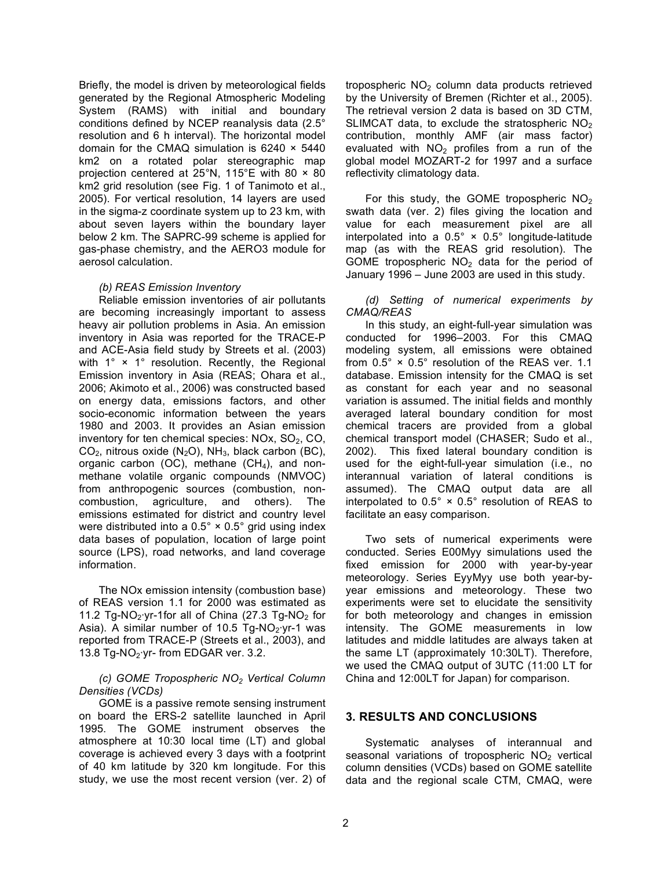Briefly, the model is driven by meteorological fields generated by the Regional Atmospheric Modeling System (RAMS) with initial and boundary conditions defined by NCEP reanalysis data (2.5° resolution and 6 h interval). The horizontal model domain for the CMAQ simulation is 6240 × 5440 km2 on a rotated polar stereographic map projection centered at 25°N, 115°E with 80 × 80 km2 grid resolution (see Fig. 1 of Tanimoto et al., 2005). For vertical resolution, 14 layers are used in the sigma-z coordinate system up to 23 km, with about seven layers within the boundary layer below 2 km. The SAPRC-99 scheme is applied for gas-phase chemistry, and the AERO3 module for aerosol calculation.

#### *(b) REAS Emission Inventory*

Reliable emission inventories of air pollutants are becoming increasingly important to assess heavy air pollution problems in Asia. An emission inventory in Asia was reported for the TRACE-P and ACE-Asia field study by Streets et al. (2003) with 1° × 1° resolution. Recently, the Regional Emission inventory in Asia (REAS; Ohara et al., 2006; Akimoto et al., 2006) was constructed based on energy data, emissions factors, and other socio-economic information between the years 1980 and 2003. It provides an Asian emission inventory for ten chemical species:  $NOX$ ,  $SO<sub>2</sub>$ ,  $CO<sub>2</sub>$ ,  $CO<sub>2</sub>$ , nitrous oxide (N<sub>2</sub>O), NH<sub>3</sub>, black carbon (BC), organic carbon (OC), methane  $(CH<sub>4</sub>)$ , and nonmethane volatile organic compounds (NMVOC) from anthropogenic sources (combustion, noncombustion, agriculture, and others). The emissions estimated for district and country level were distributed into a  $0.5^\circ \times 0.5^\circ$  grid using index data bases of population, location of large point source (LPS), road networks, and land coverage information.

The NOx emission intensity (combustion base) of REAS version 1.1 for 2000 was estimated as 11.2 Tg-NO<sub>2</sub>·yr-1for all of China (27.3 Tg-NO<sub>2</sub> for Asia). A similar number of 10.5 Tg-NO<sub>2</sub>·yr-1 was reported from TRACE-P (Streets et al., 2003), and 13.8 Tg-NO<sub>2</sub>·yr- from EDGAR ver. 3.2.

### *(c) GOME Tropospheric NO2 Vertical Column Densities (VCDs)*

GOME is a passive remote sensing instrument on board the ERS-2 satellite launched in April 1995. The GOME instrument observes the atmosphere at 10:30 local time (LT) and global coverage is achieved every 3 days with a footprint of 40 km latitude by 320 km longitude. For this study, we use the most recent version (ver. 2) of tropospheric NO<sub>2</sub> column data products retrieved by the University of Bremen (Richter et al., 2005). The retrieval version 2 data is based on 3D CTM, SLIMCAT data, to exclude the stratospheric  $NO<sub>2</sub>$ contribution, monthly AMF (air mass factor) evaluated with  $NO<sub>2</sub>$  profiles from a run of the global model MOZART-2 for 1997 and a surface reflectivity climatology data.

For this study, the GOME tropospheric  $NO<sub>2</sub>$ swath data (ver. 2) files giving the location and value for each measurement pixel are all interpolated into a 0.5° × 0.5° longitude-latitude map (as with the REAS grid resolution). The GOME tropospheric  $NO<sub>2</sub>$  data for the period of January 1996 – June 2003 are used in this study.

*(d) Setting of numerical experiments by CMAQ/REAS*

In this study, an eight-full-year simulation was conducted for 1996–2003. For this CMAQ modeling system, all emissions were obtained from 0.5° × 0.5° resolution of the REAS ver. 1.1 database. Emission intensity for the CMAQ is set as constant for each year and no seasonal variation is assumed. The initial fields and monthly averaged lateral boundary condition for most chemical tracers are provided from a global chemical transport model (CHASER; Sudo et al., 2002). This fixed lateral boundary condition is used for the eight-full-year simulation (i.e., no interannual variation of lateral conditions is assumed). The CMAQ output data are all interpolated to 0.5° × 0.5° resolution of REAS to facilitate an easy comparison.

Two sets of numerical experiments were conducted. Series E00Myy simulations used the fixed emission for 2000 with year-by-year meteorology. Series EyyMyy use both year-byyear emissions and meteorology. These two experiments were set to elucidate the sensitivity for both meteorology and changes in emission intensity. The GOME measurements in low latitudes and middle latitudes are always taken at the same LT (approximately 10:30LT). Therefore, we used the CMAQ output of 3UTC (11:00 LT for China and 12:00LT for Japan) for comparison.

## **3. RESULTS AND CONCLUSIONS**

Systematic analyses of interannual and seasonal variations of tropospheric  $NO<sub>2</sub>$  vertical column densities (VCDs) based on GOME satellite data and the regional scale CTM, CMAQ, were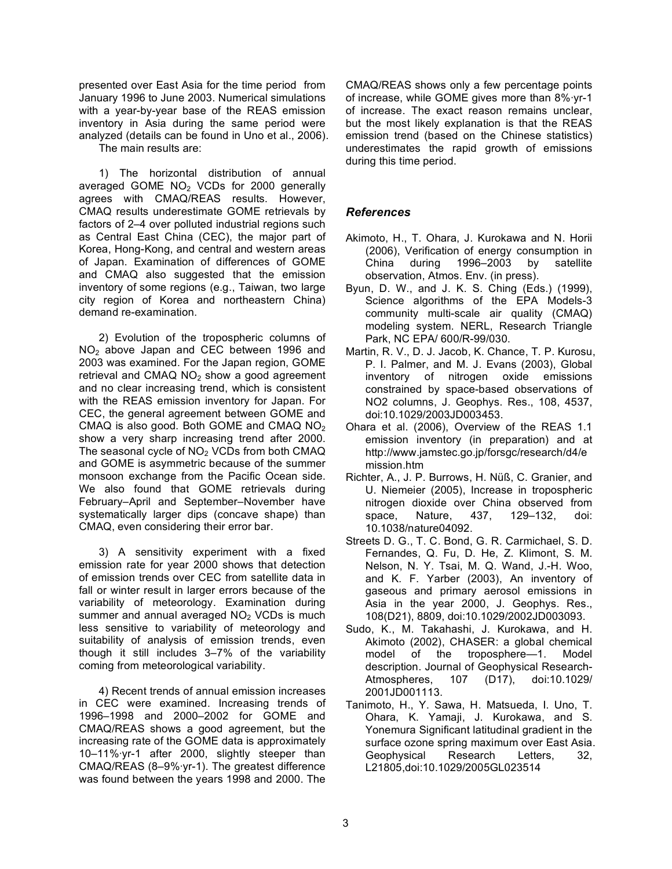presented over East Asia for the time period from January 1996 to June 2003. Numerical simulations with a year-by-year base of the REAS emission inventory in Asia during the same period were analyzed (details can be found in Uno et al., 2006). The main results are:

1) The horizontal distribution of annual averaged GOME NO2 VCDs for 2000 generally agrees with CMAQ/REAS results. However, CMAQ results underestimate GOME retrievals by factors of 2–4 over polluted industrial regions such as Central East China (CEC), the major part of Korea, Hong-Kong, and central and western areas of Japan. Examination of differences of GOME and CMAQ also suggested that the emission inventory of some regions (e.g., Taiwan, two large city region of Korea and northeastern China) demand re-examination.

2) Evolution of the tropospheric columns of NO2 above Japan and CEC between 1996 and 2003 was examined. For the Japan region, GOME retrieval and CMAQ  $NO<sub>2</sub>$  show a good agreement and no clear increasing trend, which is consistent with the REAS emission inventory for Japan. For CEC, the general agreement between GOME and CMAQ is also good. Both GOME and CMAQ  $NO<sub>2</sub>$ show a very sharp increasing trend after 2000. The seasonal cycle of  $NO<sub>2</sub>$  VCDs from both CMAQ and GOME is asymmetric because of the summer monsoon exchange from the Pacific Ocean side. We also found that GOME retrievals during February–April and September–November have systematically larger dips (concave shape) than CMAQ, even considering their error bar.

3) A sensitivity experiment with a fixed emission rate for year 2000 shows that detection of emission trends over CEC from satellite data in fall or winter result in larger errors because of the variability of meteorology. Examination during summer and annual averaged  $NO<sub>2</sub> VCDs$  is much less sensitive to variability of meteorology and suitability of analysis of emission trends, even though it still includes 3–7% of the variability coming from meteorological variability.

4) Recent trends of annual emission increases in CEC were examined. Increasing trends of 1996–1998 and 2000–2002 for GOME and CMAQ/REAS shows a good agreement, but the increasing rate of the GOME data is approximately 10–11%·yr-1 after 2000, slightly steeper than CMAQ/REAS (8–9%·yr-1). The greatest difference was found between the years 1998 and 2000. The

CMAQ/REAS shows only a few percentage points of increase, while GOME gives more than 8%·yr-1 of increase. The exact reason remains unclear, but the most likely explanation is that the REAS emission trend (based on the Chinese statistics) underestimates the rapid growth of emissions during this time period.

# *References*

- Akimoto, H., T. Ohara, J. Kurokawa and N. Horii (2006), Verification of energy consumption in China during 1996–2003 by satellite observation, Atmos. Env. (in press).
- Byun, D. W., and J. K. S. Ching (Eds.) (1999), Science algorithms of the EPA Models-3 community multi-scale air quality (CMAQ) modeling system. NERL, Research Triangle Park, NC EPA/ 600/R-99/030.
- Martin, R. V., D. J. Jacob, K. Chance, T. P. Kurosu, P. I. Palmer, and M. J. Evans (2003), Global inventory of nitrogen oxide emissions constrained by space-based observations of NO2 columns, J. Geophys. Res., 108, 4537, doi:10.1029/2003JD003453.
- Ohara et al. (2006), Overview of the REAS 1.1 emission inventory (in preparation) and at http://www.jamstec.go.jp/forsgc/research/d4/e mission.htm
- Richter, A., J. P. Burrows, H. Nüß, C. Granier, and U. Niemeier (2005), Increase in tropospheric nitrogen dioxide over China observed from space, Nature, 437, 129–132, doi: 10.1038/nature04092.
- Streets D. G., T. C. Bond, G. R. Carmichael, S. D. Fernandes, Q. Fu, D. He, Z. Klimont, S. M. Nelson, N. Y. Tsai, M. Q. Wand, J.-H. Woo, and K. F. Yarber (2003), An inventory of gaseous and primary aerosol emissions in Asia in the year 2000, J. Geophys. Res., 108(D21), 8809, doi:10.1029/2002JD003093.
- Sudo, K., M. Takahashi, J. Kurokawa, and H. Akimoto (2002), CHASER: a global chemical model of the troposphere—1. Model description. Journal of Geophysical Research-Atmospheres, 107 (D17), doi:10.1029/ 2001JD001113.
- Tanimoto, H., Y. Sawa, H. Matsueda, I. Uno, T. Ohara, K. Yamaji, J. Kurokawa, and S. Yonemura Significant latitudinal gradient in the surface ozone spring maximum over East Asia. Geophysical Research Letters, 32, L21805,doi:10.1029/2005GL023514